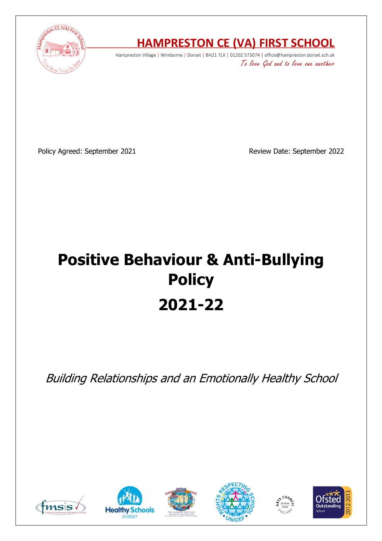

## **HAMPRESTON CE (VA) FIRST SCHOOL**

Hampreston Village | Wimborne | Dorset | BH21 7LX | 01202 573074 | office@hampreston.dorset.sch.uk To love God and to love one another

Policy Agreed: September 2021 and a september 2022 Review Date: September 2022

# **Positive Behaviour & Anti-Bullying Policy 2021-22**

Building Relationships and an Emotionally Healthy School











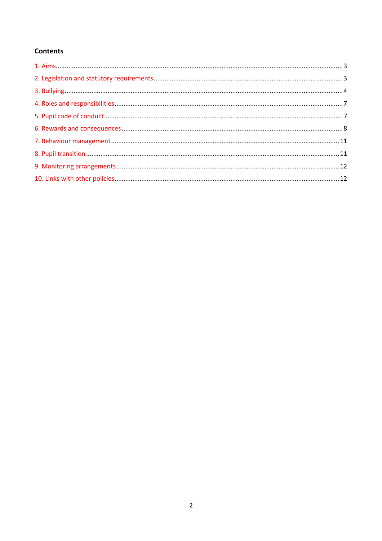#### **Contents**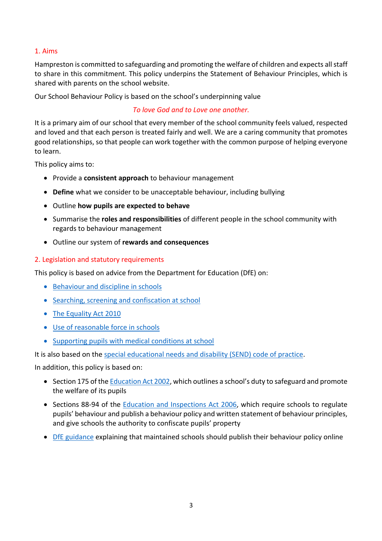#### 1. Aims

Hampreston is committed to safeguarding and promoting the welfare of children and expects all staff to share in this commitment. This policy underpins the Statement of Behaviour Principles, which is shared with parents on the school website.

Our School Behaviour Policy is based on the school's underpinning value

#### *To love God and to Love one another.*

It is a primary aim of our school that every member of the school community feels valued, respected and loved and that each person is treated fairly and well. We are a caring community that promotes good relationships, so that people can work together with the common purpose of helping everyone to learn.

This policy aims to:

- Provide a **consistent approach** to behaviour management
- **Define** what we consider to be unacceptable behaviour, including bullying
- Outline **how pupils are expected to behave**
- Summarise the **roles and responsibilities** of different people in the school community with regards to behaviour management
- Outline our system of **rewards and consequences**

#### 2. Legislation and statutory requirements

This policy is based on advice from the Department for Education (DfE) on:

- Behaviour and discipline in schools
- Searching, screening and confiscation at school
- The Equality Act 2010
- Use of reasonable force in schools
- Supporting pupils with medical conditions at school

It is also based on the special educational needs and disability (SEND) code of practice.

In addition, this policy is based on:

- Section 175 of the Education Act 2002, which outlines a school's duty to safeguard and promote the welfare of its pupils
- Sections 88-94 of the Education and Inspections Act 2006, which require schools to regulate pupils' behaviour and publish a behaviour policy and written statement of behaviour principles, and give schools the authority to confiscate pupils' property
- DfE guidance explaining that maintained schools should publish their behaviour policy online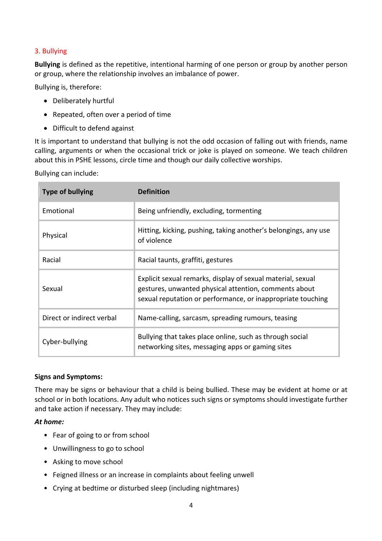#### 3. Bullying

**Bullying** is defined as the repetitive, intentional harming of one person or group by another person or group, where the relationship involves an imbalance of power.

Bullying is, therefore:

- Deliberately hurtful
- Repeated, often over a period of time
- Difficult to defend against

It is important to understand that bullying is not the odd occasion of falling out with friends, name calling, arguments or when the occasional trick or joke is played on someone. We teach children about this in PSHE lessons, circle time and though our daily collective worships.

Bullying can include:

| <b>Type of bullying</b>   | <b>Definition</b>                                                                                                                                                                   |
|---------------------------|-------------------------------------------------------------------------------------------------------------------------------------------------------------------------------------|
| Emotional                 | Being unfriendly, excluding, tormenting                                                                                                                                             |
| Physical                  | Hitting, kicking, pushing, taking another's belongings, any use<br>of violence                                                                                                      |
| Racial                    | Racial taunts, graffiti, gestures                                                                                                                                                   |
| Sexual                    | Explicit sexual remarks, display of sexual material, sexual<br>gestures, unwanted physical attention, comments about<br>sexual reputation or performance, or inappropriate touching |
| Direct or indirect verbal | Name-calling, sarcasm, spreading rumours, teasing                                                                                                                                   |
| Cyber-bullying            | Bullying that takes place online, such as through social<br>networking sites, messaging apps or gaming sites                                                                        |

#### **Signs and Symptoms:**

There may be signs or behaviour that a child is being bullied. These may be evident at home or at school or in both locations. Any adult who notices such signs or symptoms should investigate further and take action if necessary. They may include:

#### *At home:*

- Fear of going to or from school
- Unwillingness to go to school
- Asking to move school
- Feigned illness or an increase in complaints about feeling unwell
- Crying at bedtime or disturbed sleep (including nightmares)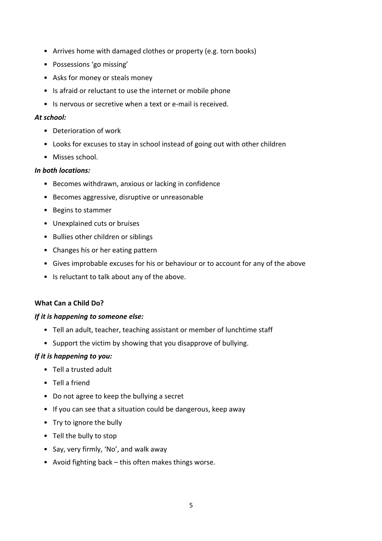- Arrives home with damaged clothes or property (e.g. torn books)
- Possessions 'go missing'
- Asks for money or steals money
- Is afraid or reluctant to use the internet or mobile phone
- Is nervous or secretive when a text or e-mail is received.

#### *At school:*

- Deterioration of work
- Looks for excuses to stay in school instead of going out with other children
- Misses school.

#### *In both locations:*

- Becomes withdrawn, anxious or lacking in confidence
- Becomes aggressive, disruptive or unreasonable
- Begins to stammer
- Unexplained cuts or bruises
- Bullies other children or siblings
- Changes his or her eating pattern
- Gives improbable excuses for his or behaviour or to account for any of the above
- Is reluctant to talk about any of the above.

#### **What Can a Child Do?**

#### *If it is happening to someone else:*

- Tell an adult, teacher, teaching assistant or member of lunchtime staff
- Support the victim by showing that you disapprove of bullying.

#### *If it is happening to you:*

- Tell a trusted adult
- Tell a friend
- Do not agree to keep the bullying a secret
- If you can see that a situation could be dangerous, keep away
- Try to ignore the bully
- Tell the bully to stop
- Say, very firmly, 'No', and walk away
- Avoid fighting back this often makes things worse.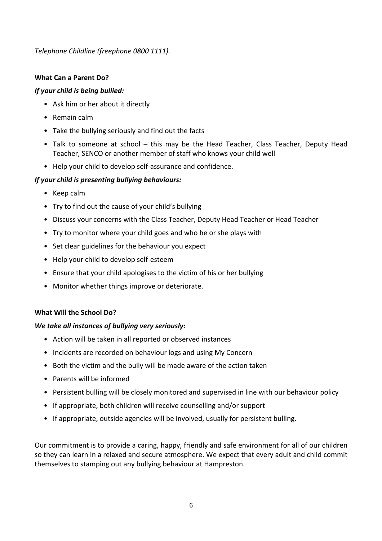*Telephone Childline (freephone 0800 1111).*

#### **What Can a Parent Do?**

#### *If your child is being bullied:*

- Ask him or her about it directly
- Remain calm
- Take the bullying seriously and find out the facts
- Talk to someone at school this may be the Head Teacher, Class Teacher, Deputy Head Teacher, SENCO or another member of staff who knows your child well
- Help your child to develop self-assurance and confidence.

#### *If your child is presenting bullying behaviours:*

- Keep calm
- Try to find out the cause of your child's bullying
- Discuss your concerns with the Class Teacher, Deputy Head Teacher or Head Teacher
- Try to monitor where your child goes and who he or she plays with
- Set clear guidelines for the behaviour you expect
- Help your child to develop self-esteem
- Ensure that your child apologises to the victim of his or her bullying
- Monitor whether things improve or deteriorate.

#### **What Will the School Do?**

#### *We take all instances of bullying very seriously:*

- Action will be taken in all reported or observed instances
- Incidents are recorded on behaviour logs and using My Concern
- Both the victim and the bully will be made aware of the action taken
- Parents will be informed
- Persistent bulling will be closely monitored and supervised in line with our behaviour policy
- If appropriate, both children will receive counselling and/or support
- If appropriate, outside agencies will be involved, usually for persistent bulling.

Our commitment is to provide a caring, happy, friendly and safe environment for all of our children so they can learn in a relaxed and secure atmosphere. We expect that every adult and child commit themselves to stamping out any bullying behaviour at Hampreston.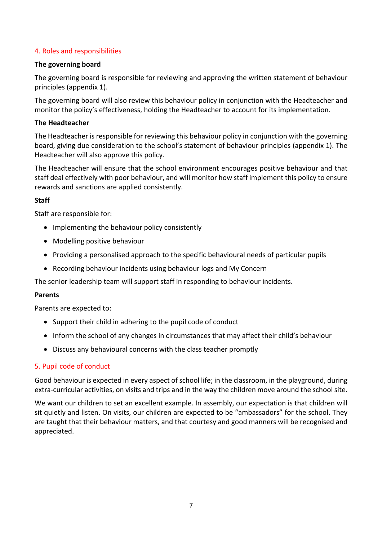#### 4. Roles and responsibilities

#### **The governing board**

The governing board is responsible for reviewing and approving the written statement of behaviour principles (appendix 1).

The governing board will also review this behaviour policy in conjunction with the Headteacher and monitor the policy's effectiveness, holding the Headteacher to account for its implementation.

#### **The Headteacher**

The Headteacher is responsible for reviewing this behaviour policy in conjunction with the governing board, giving due consideration to the school's statement of behaviour principles (appendix 1). The Headteacher will also approve this policy.

The Headteacher will ensure that the school environment encourages positive behaviour and that staff deal effectively with poor behaviour, and will monitor how staff implement this policy to ensure rewards and sanctions are applied consistently.

#### **Staff**

Staff are responsible for:

- Implementing the behaviour policy consistently
- Modelling positive behaviour
- Providing a personalised approach to the specific behavioural needs of particular pupils
- Recording behaviour incidents using behaviour logs and My Concern

The senior leadership team will support staff in responding to behaviour incidents.

#### **Parents**

Parents are expected to:

- Support their child in adhering to the pupil code of conduct
- Inform the school of any changes in circumstances that may affect their child's behaviour
- Discuss any behavioural concerns with the class teacher promptly

#### 5. Pupil code of conduct

Good behaviour is expected in every aspect of school life; in the classroom, in the playground, during extra-curricular activities, on visits and trips and in the way the children move around the school site.

We want our children to set an excellent example. In assembly, our expectation is that children will sit quietly and listen. On visits, our children are expected to be "ambassadors" for the school. They are taught that their behaviour matters, and that courtesy and good manners will be recognised and appreciated.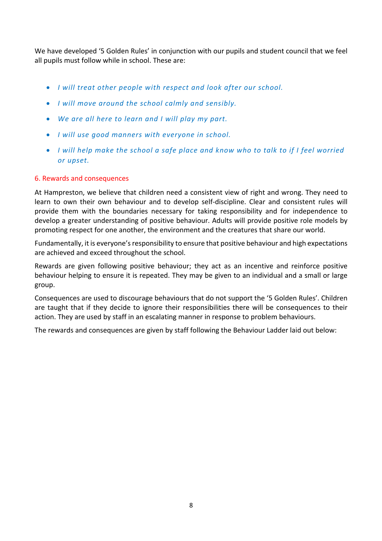We have developed '5 Golden Rules' in conjunction with our pupils and student council that we feel all pupils must follow while in school. These are:

- *I will treat other people with respect and look after our school.*
- *I will move around the school calmly and sensibly.*
- *We are all here to learn and I will play my part.*
- *I will use good manners with everyone in school.*
- *I will help make the school a safe place and know who to talk to if I feel worried or upset.*

#### 6. Rewards and consequences

At Hampreston, we believe that children need a consistent view of right and wrong. They need to learn to own their own behaviour and to develop self-discipline. Clear and consistent rules will provide them with the boundaries necessary for taking responsibility and for independence to develop a greater understanding of positive behaviour. Adults will provide positive role models by promoting respect for one another, the environment and the creatures that share our world.

Fundamentally, it is everyone's responsibility to ensure that positive behaviour and high expectations are achieved and exceed throughout the school.

Rewards are given following positive behaviour; they act as an incentive and reinforce positive behaviour helping to ensure it is repeated. They may be given to an individual and a small or large group.

Consequences are used to discourage behaviours that do not support the '5 Golden Rules'. Children are taught that if they decide to ignore their responsibilities there will be consequences to their action. They are used by staff in an escalating manner in response to problem behaviours.

The rewards and consequences are given by staff following the Behaviour Ladder laid out below: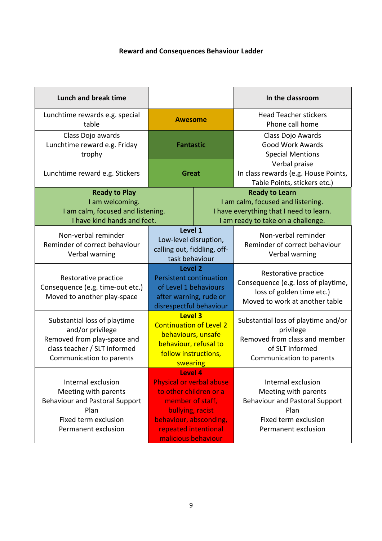## **Reward and Consequences Behaviour Ladder**

| Lunch and break time                                                                                                                        |                                                                                                                                                                                       |  | In the classroom                                                                                                                            |
|---------------------------------------------------------------------------------------------------------------------------------------------|---------------------------------------------------------------------------------------------------------------------------------------------------------------------------------------|--|---------------------------------------------------------------------------------------------------------------------------------------------|
| Lunchtime rewards e.g. special<br>table                                                                                                     | <b>Awesome</b>                                                                                                                                                                        |  | <b>Head Teacher stickers</b><br>Phone call home                                                                                             |
| Class Dojo awards<br>Lunchtime reward e.g. Friday<br>trophy                                                                                 | <b>Fantastic</b>                                                                                                                                                                      |  | Class Dojo Awards<br><b>Good Work Awards</b><br><b>Special Mentions</b>                                                                     |
| Lunchtime reward e.g. Stickers                                                                                                              | Great                                                                                                                                                                                 |  | Verbal praise<br>In class rewards (e.g. House Points,<br>Table Points, stickers etc.)                                                       |
| <b>Ready to Play</b><br>I am welcoming.<br>I am calm, focused and listening.<br>I have kind hands and feet.                                 |                                                                                                                                                                                       |  | <b>Ready to Learn</b><br>I am calm, focused and listening.<br>I have everything that I need to learn.<br>I am ready to take on a challenge. |
| Non-verbal reminder<br>Reminder of correct behaviour<br>Verbal warning                                                                      | Level 1<br>Low-level disruption,<br>calling out, fiddling, off-<br>task behaviour                                                                                                     |  | Non-verbal reminder<br>Reminder of correct behaviour<br>Verbal warning                                                                      |
| Restorative practice<br>Consequence (e.g. time-out etc.)<br>Moved to another play-space                                                     | Level 2<br><b>Persistent continuation</b><br>of Level 1 behaviours<br>after warning, rude or<br>disrespectful behaviour                                                               |  | Restorative practice<br>Consequence (e.g. loss of playtime,<br>loss of golden time etc.)<br>Moved to work at another table                  |
| Substantial loss of playtime<br>and/or privilege<br>Removed from play-space and<br>class teacher / SLT informed<br>Communication to parents | <b>Level 3</b><br><b>Continuation of Level 2</b><br>behaviours, unsafe<br>behaviour, refusal to<br>follow instructions,<br>swearing                                                   |  | Substantial loss of playtime and/or<br>privilege<br>Removed from class and member<br>of SLT informed<br>Communication to parents            |
| Internal exclusion<br>Meeting with parents<br><b>Behaviour and Pastoral Support</b><br>Plan<br>Fixed term exclusion<br>Permanent exclusion  | Level 4<br><b>Physical or verbal abuse</b><br>to other children or a<br>member of staff,<br>bullying, racist<br>behaviour, absconding,<br>repeated intentional<br>malicious behaviour |  | Internal exclusion<br>Meeting with parents<br><b>Behaviour and Pastoral Support</b><br>Plan<br>Fixed term exclusion<br>Permanent exclusion  |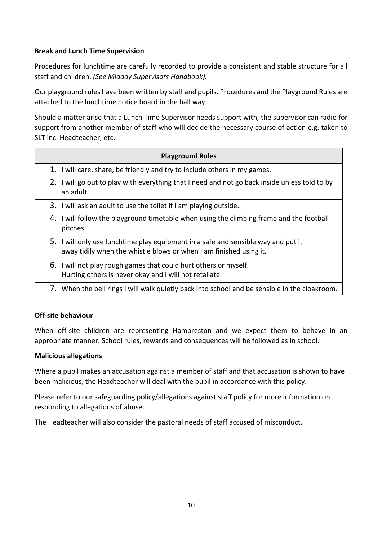#### **Break and Lunch Time Supervision**

Procedures for lunchtime are carefully recorded to provide a consistent and stable structure for all staff and children. *(See Midday Supervisors Handbook).*

Our playground rules have been written by staff and pupils. Procedures and the Playground Rules are attached to the lunchtime notice board in the hall way.

Should a matter arise that a Lunch Time Supervisor needs support with, the supervisor can radio for support from another member of staff who will decide the necessary course of action e.g. taken to SLT inc. Headteacher, etc.

| <b>Playground Rules</b>                                                                                                                                 |
|---------------------------------------------------------------------------------------------------------------------------------------------------------|
| 1. I will care, share, be friendly and try to include others in my games.                                                                               |
| 2. I will go out to play with everything that I need and not go back inside unless told to by<br>an adult.                                              |
| 3. I will ask an adult to use the toilet if I am playing outside.                                                                                       |
| 4. I will follow the playground timetable when using the climbing frame and the football<br>pitches.                                                    |
| 5. I will only use lunchtime play equipment in a safe and sensible way and put it<br>away tidily when the whistle blows or when I am finished using it. |
| 6. I will not play rough games that could hurt others or myself.<br>Hurting others is never okay and I will not retaliate.                              |
| 7. When the bell rings I will walk quietly back into school and be sensible in the cloakroom.                                                           |

#### **Off-site behaviour**

When off-site children are representing Hampreston and we expect them to behave in an appropriate manner. School rules, rewards and consequences will be followed as in school.

#### **Malicious allegations**

Where a pupil makes an accusation against a member of staff and that accusation is shown to have been malicious, the Headteacher will deal with the pupil in accordance with this policy.

Please refer to our safeguarding policy/allegations against staff policy for more information on responding to allegations of abuse.

The Headteacher will also consider the pastoral needs of staff accused of misconduct.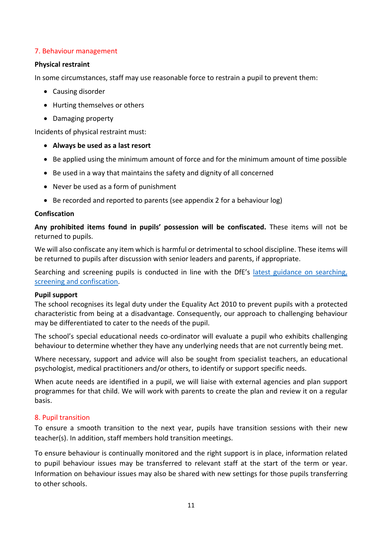#### 7. Behaviour management

#### **Physical restraint**

In some circumstances, staff may use reasonable force to restrain a pupil to prevent them:

- Causing disorder
- Hurting themselves or others
- Damaging property

Incidents of physical restraint must:

- **Always be used as a last resort**
- Be applied using the minimum amount of force and for the minimum amount of time possible
- Be used in a way that maintains the safety and dignity of all concerned
- Never be used as a form of punishment
- Be recorded and reported to parents (see appendix 2 for a behaviour log)

#### **Confiscation**

**Any prohibited items found in pupils' possession will be confiscated.** These items will not be returned to pupils.

We will also confiscate any item which is harmful or detrimental to school discipline. These items will be returned to pupils after discussion with senior leaders and parents, if appropriate.

Searching and screening pupils is conducted in line with the DfE's latest guidance on searching, screening and confiscation.

#### **Pupil support**

The school recognises its legal duty under the Equality Act 2010 to prevent pupils with a protected characteristic from being at a disadvantage. Consequently, our approach to challenging behaviour may be differentiated to cater to the needs of the pupil.

The school's special educational needs co-ordinator will evaluate a pupil who exhibits challenging behaviour to determine whether they have any underlying needs that are not currently being met.

Where necessary, support and advice will also be sought from specialist teachers, an educational psychologist, medical practitioners and/or others, to identify or support specific needs.

When acute needs are identified in a pupil, we will liaise with external agencies and plan support programmes for that child. We will work with parents to create the plan and review it on a regular basis.

#### 8. Pupil transition

To ensure a smooth transition to the next year, pupils have transition sessions with their new teacher(s). In addition, staff members hold transition meetings.

To ensure behaviour is continually monitored and the right support is in place, information related to pupil behaviour issues may be transferred to relevant staff at the start of the term or year. Information on behaviour issues may also be shared with new settings for those pupils transferring to other schools.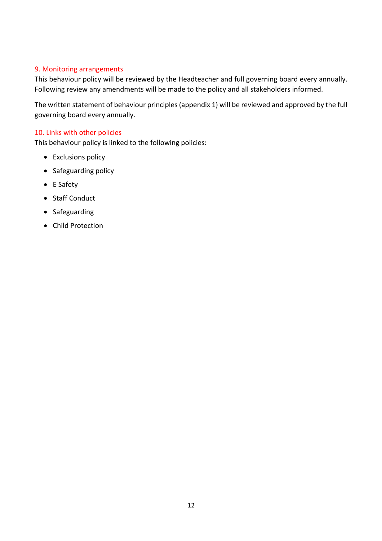#### 9. Monitoring arrangements

This behaviour policy will be reviewed by the Headteacher and full governing board every annually. Following review any amendments will be made to the policy and all stakeholders informed.

The written statement of behaviour principles (appendix 1) will be reviewed and approved by the full governing board every annually.

#### 10. Links with other policies

This behaviour policy is linked to the following policies:

- Exclusions policy
- Safeguarding policy
- E Safety
- Staff Conduct
- Safeguarding
- Child Protection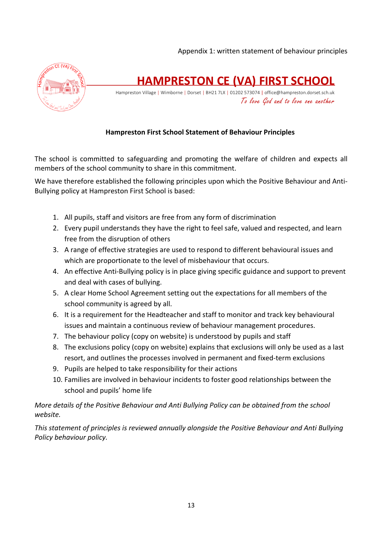

**HAMPRESTON CE (VA) FIRST SCHOOL**

Hampreston Village | Wimborne | Dorset | BH21 7LX | 01202 573074 | office@hampreston.dorset.sch.uk To love God and to love one another

#### **Hampreston First School Statement of Behaviour Principles**

The school is committed to safeguarding and promoting the welfare of children and expects all members of the school community to share in this commitment.

We have therefore established the following principles upon which the Positive Behaviour and Anti-Bullying policy at Hampreston First School is based:

- 1. All pupils, staff and visitors are free from any form of discrimination
- 2. Every pupil understands they have the right to feel safe, valued and respected, and learn free from the disruption of others
- 3. A range of effective strategies are used to respond to different behavioural issues and which are proportionate to the level of misbehaviour that occurs.
- 4. An effective Anti-Bullying policy is in place giving specific guidance and support to prevent and deal with cases of bullying.
- 5. A clear Home School Agreement setting out the expectations for all members of the school community is agreed by all.
- 6. It is a requirement for the Headteacher and staff to monitor and track key behavioural issues and maintain a continuous review of behaviour management procedures.
- 7. The behaviour policy (copy on website) is understood by pupils and staff
- 8. The exclusions policy (copy on website) explains that exclusions will only be used as a last resort, and outlines the processes involved in permanent and fixed-term exclusions
- 9. Pupils are helped to take responsibility for their actions
- 10. Families are involved in behaviour incidents to foster good relationships between the school and pupils' home life

*More details of the Positive Behaviour and Anti Bullying Policy can be obtained from the school website.*

*This statement of principles is reviewed annually alongside the Positive Behaviour and Anti Bullying Policy behaviour policy.*